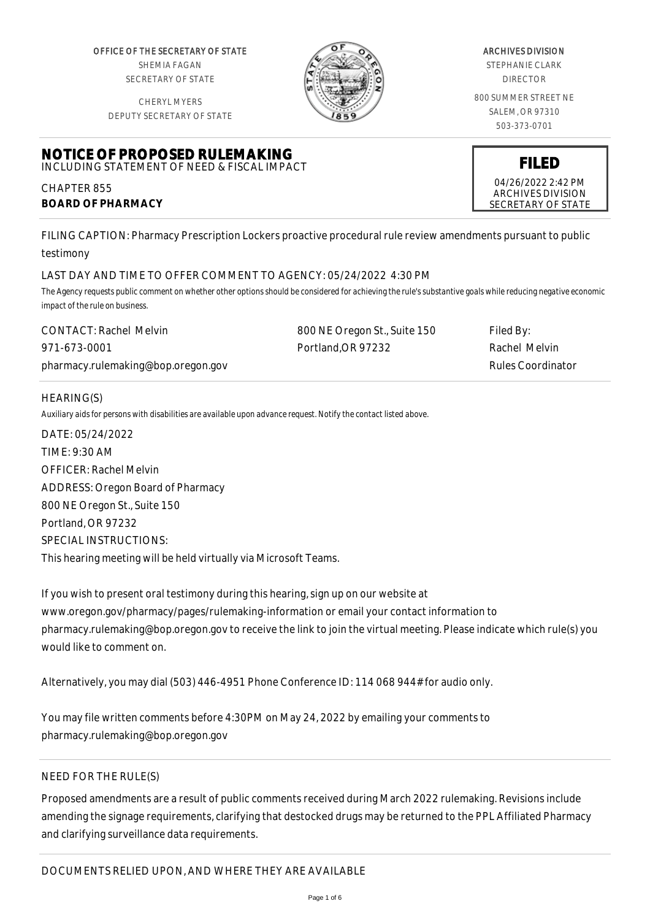OFFICE OF THE SECRETARY OF STATE SHEMIA FAGAN SECRETARY OF STATE

CHERYL MYERS



#### ARCHIVES DIVISION

STEPHANIE CLARK DIRECTOR

800 SUMMER STREET NE SALEM, OR 97310 503-373-0701

> **FILED** 04/26/2022 2:42 PM ARCHIVES DIVISION SECRETARY OF STATE

DEPUTY SECRETARY OF STATE

#### **NOTICE OF PROPOSED RULEMAKING** INCLUDING STATEMENT OF NEED & FISCAL IMPACT

CHAPTER 855 **BOARD OF PHARMACY**

FILING CAPTION: Pharmacy Prescription Lockers proactive procedural rule review amendments pursuant to public testimony

# LAST DAY AND TIME TO OFFER COMMENT TO AGENCY: 05/24/2022 4:30 PM

*The Agency requests public comment on whether other options should be considered for achieving the rule's substantive goals while reducing negative economic impact of the rule on business.*

| <b>CONTACT: Rachel Melvin</b>      | 800 NE Oregon St., Suite 150 | Filed By:         |
|------------------------------------|------------------------------|-------------------|
| 971-673-0001                       | Portland.OR 97232            | Rachel Melvin     |
| pharmacy.rulemaking@bop.oregon.gov |                              | Rules Coordinator |

# HEARING(S)

*Auxiliary aids for persons with disabilities are available upon advance request. Notify the contact listed above.*

DATE: 05/24/2022 TIME: 9:30 AM OFFICER: Rachel Melvin ADDRESS: Oregon Board of Pharmacy 800 NE Oregon St., Suite 150 Portland, OR 97232 SPECIAL INSTRUCTIONS: This hearing meeting will be held virtually via Microsoft Teams.

If you wish to present oral testimony during this hearing, sign up on our website at www.oregon.gov/pharmacy/pages/rulemaking-information or email your contact information to pharmacy.rulemaking@bop.oregon.gov to receive the link to join the virtual meeting. Please indicate which rule(s) you would like to comment on.

Alternatively, you may dial (503) 446-4951 Phone Conference ID: 114 068 944# for audio only.

You may file written comments before 4:30PM on May 24, 2022 by emailing your comments to pharmacy.rulemaking@bop.oregon.gov

# NEED FOR THE RULE(S)

Proposed amendments are a result of public comments received during March 2022 rulemaking. Revisions include amending the signage requirements, clarifying that destocked drugs may be returned to the PPL Affiliated Pharmacy and clarifying surveillance data requirements.

# DOCUMENTS RELIED UPON, AND WHERE THEY ARE AVAILABLE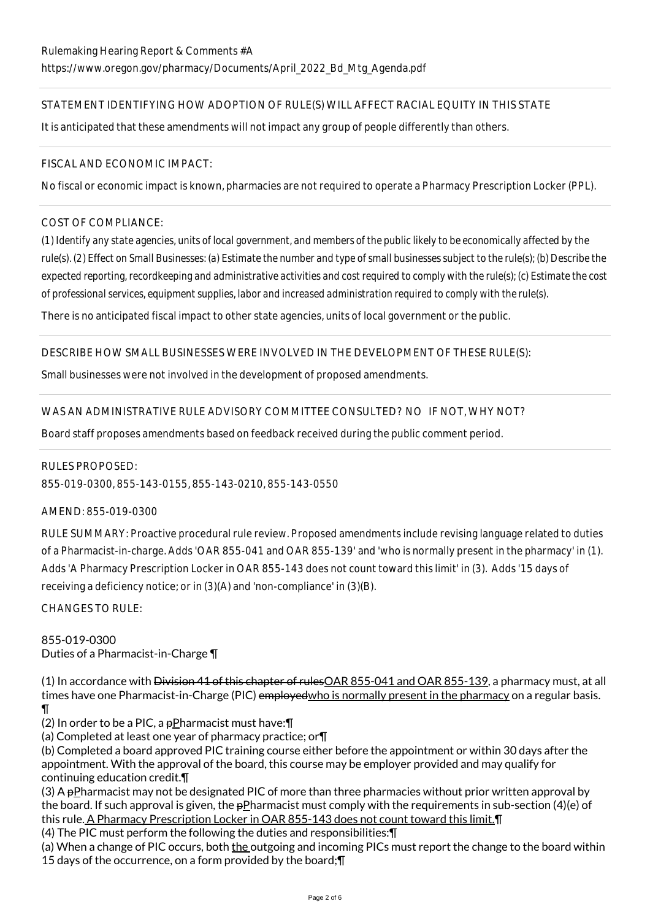# STATEMENT IDENTIFYING HOW ADOPTION OF RULE(S) WILL AFFECT RACIAL EQUITY IN THIS STATE

It is anticipated that these amendments will not impact any group of people differently than others.

### FISCAL AND ECONOMIC IMPACT:

No fiscal or economic impact is known, pharmacies are not required to operate a Pharmacy Prescription Locker (PPL).

# COST OF COMPLIANCE:

*(1) Identify any state agencies, units of local government, and members of the public likely to be economically affected by the rule(s). (2) Effect on Small Businesses: (a) Estimate the number and type of small businesses subject to the rule(s); (b) Describe the expected reporting, recordkeeping and administrative activities and cost required to comply with the rule(s); (c) Estimate the cost of professional services, equipment supplies, labor and increased administration required to comply with the rule(s).*

There is no anticipated fiscal impact to other state agencies, units of local government or the public.

## DESCRIBE HOW SMALL BUSINESSES WERE INVOLVED IN THE DEVELOPMENT OF THESE RULE(S):

Small businesses were not involved in the development of proposed amendments.

## WAS AN ADMINISTRATIVE RULE ADVISORY COMMITTEE CONSULTED? NO IF NOT, WHY NOT?

Board staff proposes amendments based on feedback received during the public comment period.

### RULES PROPOSED:

855-019-0300, 855-143-0155, 855-143-0210, 855-143-0550

### AMEND: 855-019-0300

RULE SUMMARY: Proactive procedural rule review. Proposed amendments include revising language related to duties of a Pharmacist-in-charge. Adds 'OAR 855-041 and OAR 855-139' and 'who is normally present in the pharmacy' in (1). Adds 'A Pharmacy Prescription Locker in OAR 855-143 does not count toward this limit' in (3). Adds '15 days of receiving a deficiency notice; or in (3)(A) and 'non-compliance' in (3)(B).

CHANGES TO RULE:

# 855-019-0300 Duties of a Pharmacist-in-Charge ¶

(1) In accordance with <del>Division 41 of this chapter of rules</del>OAR 855-041 and OAR 855-139, a pharmacy must, at all times have one Pharmacist-in-Charge (PIC) employed who is normally present in the pharmacy on a regular basis. ¶

(2) In order to be a PIC, a  $p$ Pharmacist must have: $\P$ 

(a) Completed at least one year of pharmacy practice; or¶

(b) Completed a board approved PIC training course either before the appointment or within 30 days after the appointment. With the approval of the board, this course may be employer provided and may qualify for continuing education credit.¶

(3) A pPharmacist may not be designated PIC of more than three pharmacies without prior written approval by the board. If such approval is given, the  $p$ Pharmacist must comply with the requirements in sub-section (4)(e) of this rule. A Pharmacy Prescription Locker in OAR 855-143 does not count toward this limit.¶

(4) The PIC must perform the following the duties and responsibilities:¶

(a) When a change of PIC occurs, both the outgoing and incoming PICs must report the change to the board within 15 days of the occurrence, on a form provided by the board;¶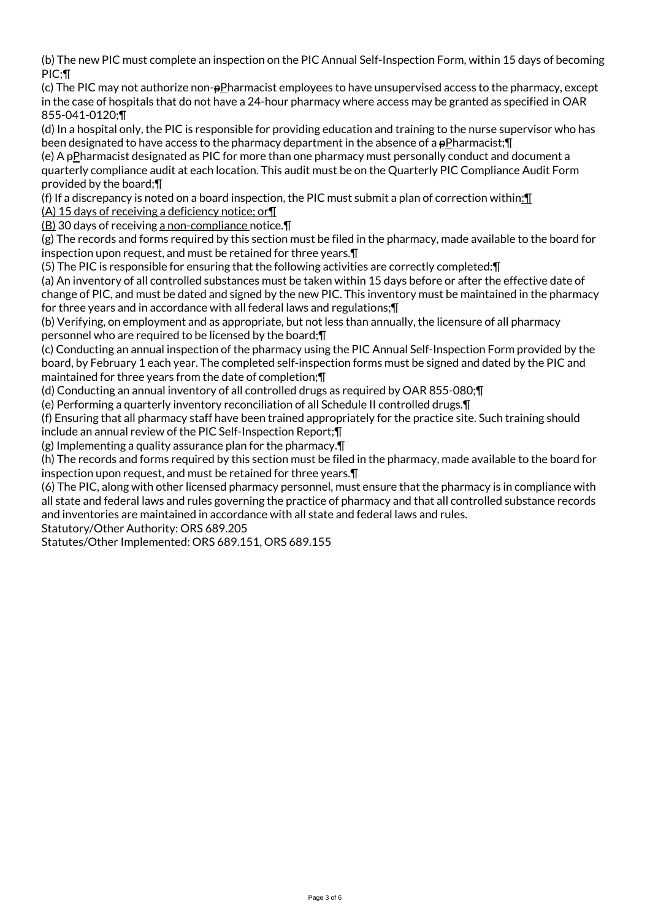(b) The new PIC must complete an inspection on the PIC Annual Self-Inspection Form, within 15 days of becoming PIC;¶

(c) The PIC may not authorize non- $pP$ harmacist employees to have unsupervised access to the pharmacy, except in the case of hospitals that do not have a 24-hour pharmacy where access may be granted as specified in OAR 855-041-0120;¶

(d) In a hospital only, the PIC is responsible for providing education and training to the nurse supervisor who has been designated to have access to the pharmacy department in the absence of a pPharmacist; [I]

(e) A pPharmacist designated as PIC for more than one pharmacy must personally conduct and document a quarterly compliance audit at each location. This audit must be on the Quarterly PIC Compliance Audit Form provided by the board;¶

(f) If a discrepancy is noted on a board inspection, the PIC must submit a plan of correction within:¶ (A) 15 days of receiving a deficiency notice; or¶

(B) 30 days of receiving a non-compliance notice.¶

(g) The records and forms required by this section must be filed in the pharmacy, made available to the board for inspection upon request, and must be retained for three years.¶

(5) The PIC is responsible for ensuring that the following activities are correctly completed:¶

(a) An inventory of all controlled substances must be taken within 15 days before or after the effective date of change of PIC, and must be dated and signed by the new PIC. This inventory must be maintained in the pharmacy for three years and in accordance with all federal laws and regulations;¶

(b) Verifying, on employment and as appropriate, but not less than annually, the licensure of all pharmacy personnel who are required to be licensed by the board;¶

(c) Conducting an annual inspection of the pharmacy using the PIC Annual Self-Inspection Form provided by the board, by February 1 each year. The completed self-inspection forms must be signed and dated by the PIC and maintained for three years from the date of completion;¶

(d) Conducting an annual inventory of all controlled drugs as required by OAR 855-080;¶

(e) Performing a quarterly inventory reconciliation of all Schedule II controlled drugs.¶

(f) Ensuring that all pharmacy staff have been trained appropriately for the practice site. Such training should include an annual review of the PIC Self-Inspection Report;¶

(g) Implementing a quality assurance plan for the pharmacy.¶

(h) The records and forms required by this section must be filed in the pharmacy, made available to the board for inspection upon request, and must be retained for three years.¶

(6) The PIC, along with other licensed pharmacy personnel, must ensure that the pharmacy is in compliance with all state and federal laws and rules governing the practice of pharmacy and that all controlled substance records and inventories are maintained in accordance with all state and federal laws and rules.

Statutory/Other Authority: ORS 689.205

Statutes/Other Implemented: ORS 689.151, ORS 689.155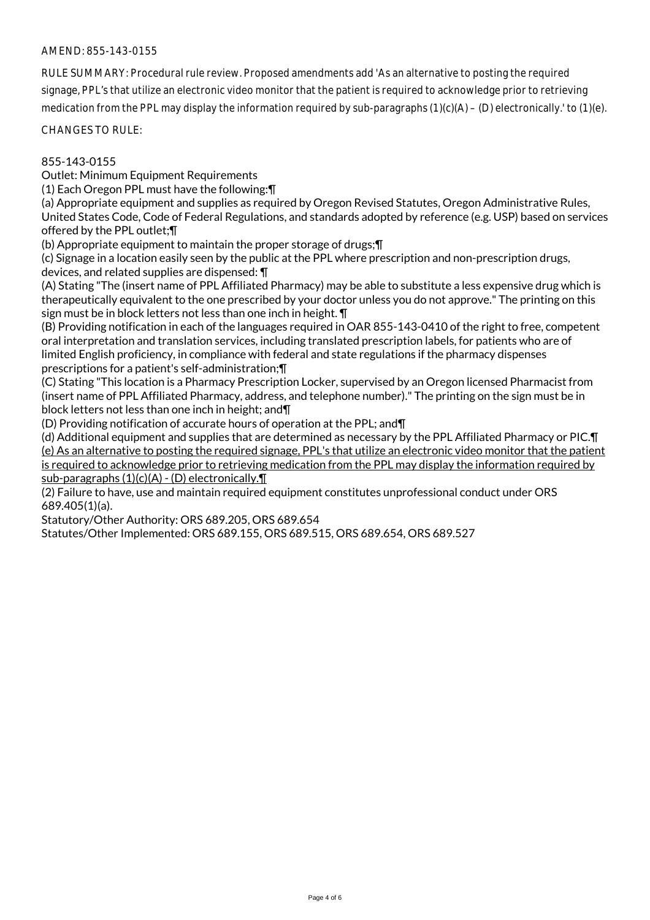## AMEND: 855-143-0155

RULE SUMMARY: Procedural rule review. Proposed amendments add 'As an alternative to posting the required signage, PPL's that utilize an electronic video monitor that the patient is required to acknowledge prior to retrieving medication from the PPL may display the information required by sub-paragraphs  $(1)(c)(A) - (D)$  electronically.' to  $(1)(e)$ .

CHANGES TO RULE:

### 855-143-0155

Outlet: Minimum Equipment Requirements

(1) Each Oregon PPL must have the following:¶

(a) Appropriate equipment and supplies as required by Oregon Revised Statutes, Oregon Administrative Rules, United States Code, Code of Federal Regulations, and standards adopted by reference (e.g. USP) based on services offered by the PPL outlet;¶

(b) Appropriate equipment to maintain the proper storage of drugs;¶

(c) Signage in a location easily seen by the public at the PPL where prescription and non-prescription drugs, devices, and related supplies are dispensed: ¶

(A) Stating "The (insert name of PPL Affiliated Pharmacy) may be able to substitute a less expensive drug which is therapeutically equivalent to the one prescribed by your doctor unless you do not approve." The printing on this sign must be in block letters not less than one inch in height. ¶

(B) Providing notification in each of the languages required in OAR 855-143-0410 of the right to free, competent oral interpretation and translation services, including translated prescription labels, for patients who are of limited English proficiency, in compliance with federal and state regulations if the pharmacy dispenses prescriptions for a patient's self-administration;¶

(C) Stating "This location is a Pharmacy Prescription Locker, supervised by an Oregon licensed Pharmacist from (insert name of PPL Affiliated Pharmacy, address, and telephone number)." The printing on the sign must be in block letters not less than one inch in height; and¶

(D) Providing notification of accurate hours of operation at the PPL; and¶

(d) Additional equipment and supplies that are determined as necessary by the PPL Affiliated Pharmacy or PIC.¶ (e) As an alternative to posting the required signage, PPL's that utilize an electronic video monitor that the patient is required to acknowledge prior to retrieving medication from the PPL may display the information required by sub-paragraphs (1)(c)(A) - (D) electronically.¶

(2) Failure to have, use and maintain required equipment constitutes unprofessional conduct under ORS 689.405(1)(a).

Statutory/Other Authority: ORS 689.205, ORS 689.654

Statutes/Other Implemented: ORS 689.155, ORS 689.515, ORS 689.654, ORS 689.527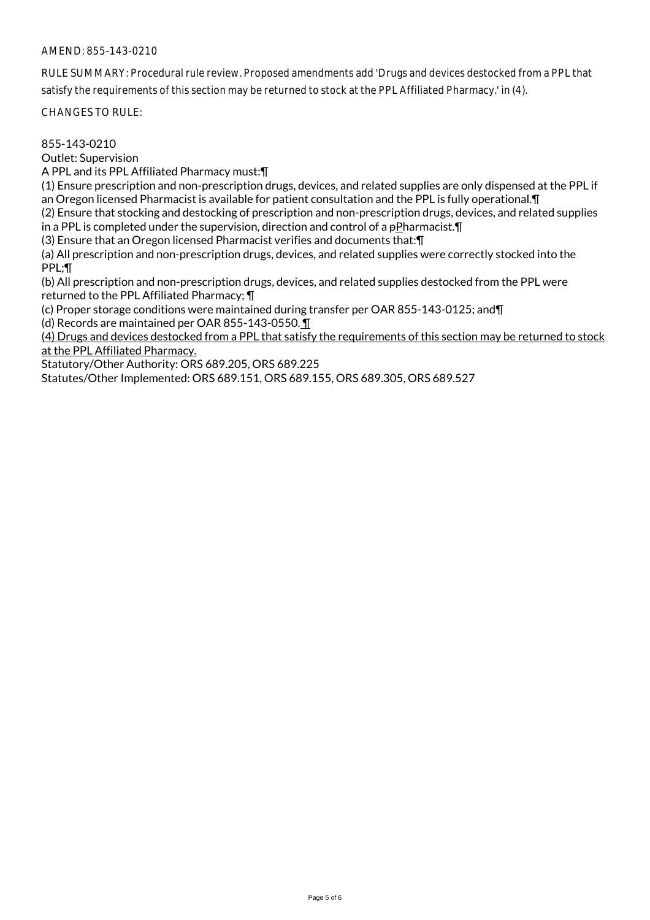## AMEND: 855-143-0210

RULE SUMMARY: Procedural rule review. Proposed amendments add 'Drugs and devices destocked from a PPL that satisfy the requirements of this section may be returned to stock at the PPL Affiliated Pharmacy.' in (4).

CHANGES TO RULE:

855-143-0210

Outlet: Supervision

A PPL and its PPL Affiliated Pharmacy must:¶

(1) Ensure prescription and non-prescription drugs, devices, and related supplies are only dispensed at the PPL if an Oregon licensed Pharmacist is available for patient consultation and the PPL is fully operational.¶

(2) Ensure that stocking and destocking of prescription and non-prescription drugs, devices, and related supplies in a PPL is completed under the supervision, direction and control of a pPharmacist.¶

(3) Ensure that an Oregon licensed Pharmacist verifies and documents that:¶

(a) All prescription and non-prescription drugs, devices, and related supplies were correctly stocked into the PPL;¶

(b) All prescription and non-prescription drugs, devices, and related supplies destocked from the PPL were returned to the PPL Affiliated Pharmacy; ¶

(c) Proper storage conditions were maintained during transfer per OAR 855-143-0125; and¶ (d) Records are maintained per OAR 855-143-0550. ¶

(4) Drugs and devices destocked from a PPL that satisfy the requirements of this section may be returned to stock at the PPL Affiliated Pharmacy.

Statutory/Other Authority: ORS 689.205, ORS 689.225

Statutes/Other Implemented: ORS 689.151, ORS 689.155, ORS 689.305, ORS 689.527